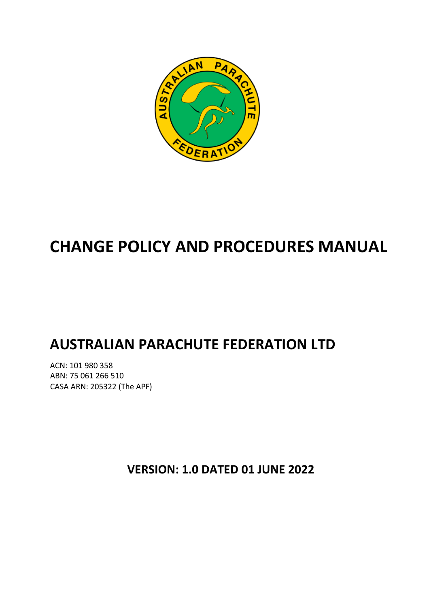

# **CHANGE POLICY AND PROCEDURES MANUAL**

# **AUSTRALIAN PARACHUTE FEDERATION LTD**

ACN: 101 980 358 ABN: 75 061 266 510 CASA ARN: 205322 (The APF)

**VERSION: 1.0 DATED 01 JUNE 2022**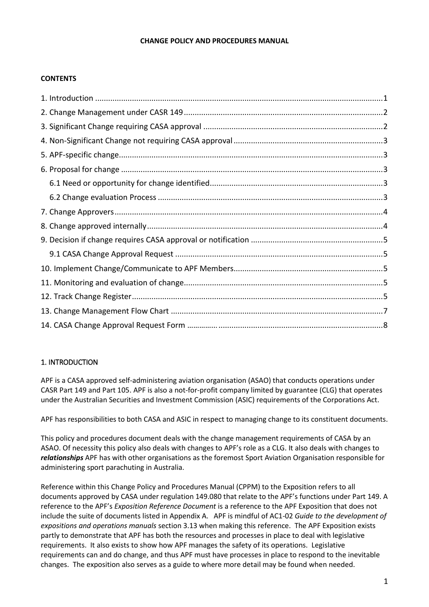#### **CHANGE POLICY AND PROCEDURES MANUAL**

# **CONTENTS**

# <span id="page-1-0"></span>1. INTRODUCTION

APF is a CASA approved self-administering aviation organisation (ASAO) that conducts operations under CASR Part 149 and Part 105. APF is also a not-for-profit company limited by guarantee (CLG) that operates under the Australian Securities and Investment Commission (ASIC) requirements of the Corporations Act.

APF has responsibilities to both CASA and ASIC in respect to managing change to its constituent documents.

This policy and procedures document deals with the change management requirements of CASA by an ASAO. Of necessity this policy also deals with changes to APF's role as a CLG. It also deals with changes to *relationships* APF has with other organisations as the foremost Sport Aviation Organisation responsible for administering sport parachuting in Australia.

Reference within this Change Policy and Procedures Manual (CPPM) to the Exposition refers to all documents approved by CASA under regulation 149.080 that relate to the APF's functions under Part 149. A reference to the APF's *Exposition Reference Document* is a reference to the APF Exposition that does not include the suite of documents listed in Appendix A. APF is mindful of AC1-02 *Guide to the development of expositions and operations manuals* section 3.13 when making this reference. The APF Exposition exists partly to demonstrate that APF has both the resources and processes in place to deal with legislative requirements. It also exists to show how APF manages the safety of its operations. Legislative requirements can and do change, and thus APF must have processes in place to respond to the inevitable changes. The exposition also serves as a guide to where more detail may be found when needed.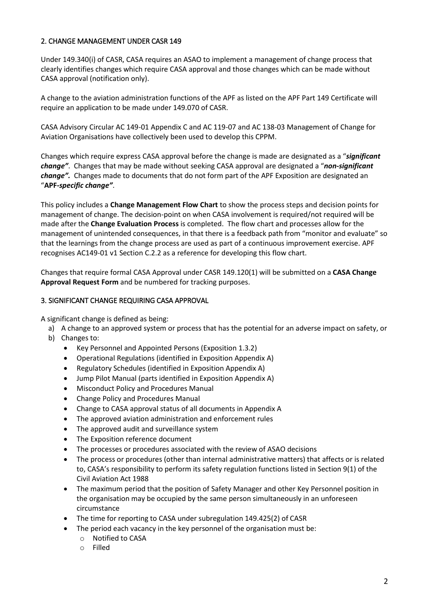#### <span id="page-2-0"></span>2. CHANGE MANAGEMENT UNDER CASR 149

Under 149.340(i) of CASR, CASA requires an ASAO to implement a management of change process that clearly identifies changes which require CASA approval and those changes which can be made without CASA approval (notification only).

A change to the aviation administration functions of the APF as listed on the APF Part 149 Certificate will require an application to be made under 149.070 of CASR.

CASA Advisory Circular AC 149-01 Appendix C and AC 119-07 and AC 138-03 Management of Change for Aviation Organisations have collectively been used to develop this CPPM.

Changes which require express CASA approval before the change is made are designated as a "*significant change"*. Changes that may be made without seeking CASA approval are designated a "*non-significant change".* Changes made to documents that do not form part of the APF Exposition are designated an "**APF***-specific change"*.

This policy includes a **Change Management Flow Chart** to show the process steps and decision points for management of change. The decision-point on when CASA involvement is required/not required will be made after the **Change Evaluation Process** is completed. The flow chart and processes allow for the management of unintended consequences, in that there is a feedback path from "monitor and evaluate" so that the learnings from the change process are used as part of a continuous improvement exercise. APF recognises AC149-01 v1 Section C.2.2 as a reference for developing this flow chart.

Changes that require formal CASA Approval under CASR 149.120(1) will be submitted on a **CASA Change Approval Request Form** and be numbered for tracking purposes.

#### <span id="page-2-1"></span>3. SIGNIFICANT CHANGE REQUIRING CASA APPROVAL

A significant change is defined as being:

- a) A change to an approved system or process that has the potential for an adverse impact on safety, or
- b) Changes to:
	- Key Personnel and Appointed Persons (Exposition 1.3.2)
	- Operational Regulations (identified in Exposition Appendix A)
	- Regulatory Schedules (identified in Exposition Appendix A)
	- Jump Pilot Manual (parts identified in Exposition Appendix A)
	- Misconduct Policy and Procedures Manual
	- Change Policy and Procedures Manual
	- Change to CASA approval status of all documents in Appendix A
	- The approved aviation administration and enforcement rules
	- The approved audit and surveillance system
	- The Exposition reference document
	- The processes or procedures associated with the review of ASAO decisions
	- The process or procedures (other than internal administrative matters) that affects or is related to, CASA's responsibility to perform its safety regulation functions listed in Section 9(1) of the Civil Aviation Act 1988
	- The maximum period that the position of Safety Manager and other Key Personnel position in the organisation may be occupied by the same person simultaneously in an unforeseen circumstance
	- The time for reporting to CASA under subregulation 149.425(2) of CASR
	- The period each vacancy in the key personnel of the organisation must be:
		- o Notified to CASA
		- o Filled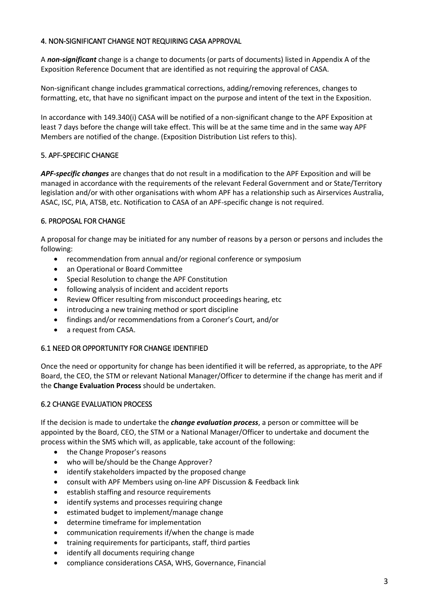#### <span id="page-3-0"></span>4. NON-SIGNIFICANT CHANGE NOT REQUIRING CASA APPROVAL

A *non-significant* change is a change to documents (or parts of documents) listed in Appendix A of the Exposition Reference Document that are identified as not requiring the approval of CASA.

Non-significant change includes grammatical corrections, adding/removing references, changes to formatting, etc, that have no significant impact on the purpose and intent of the text in the Exposition.

In accordance with 149.340(i) CASA will be notified of a non-significant change to the APF Exposition at least 7 days before the change will take effect. This will be at the same time and in the same way APF Members are notified of the change. (Exposition Distribution List refers to this).

# <span id="page-3-1"></span>5. APF-SPECIFIC CHANGE

*APF-specific changes* are changes that do not result in a modification to the APF Exposition and will be managed in accordance with the requirements of the relevant Federal Government and or State/Territory legislation and/or with other organisations with whom APF has a relationship such as Airservices Australia, ASAC, ISC, PIA, ATSB, etc. Notification to CASA of an APF-specific change is not required.

# <span id="page-3-2"></span>6. PROPOSAL FOR CHANGE

A proposal for change may be initiated for any number of reasons by a person or persons and includes the following:

- recommendation from annual and/or regional conference or symposium
- an Operational or Board Committee
- Special Resolution to change the APF Constitution
- following analysis of incident and accident reports
- Review Officer resulting from misconduct proceedings hearing, etc
- introducing a new training method or sport discipline
- findings and/or recommendations from a Coroner's Court, and/or
- a request from CASA.

# <span id="page-3-3"></span>6.1 NEED OR OPPORTUNITY FOR CHANGE IDENTIFIED

Once the need or opportunity for change has been identified it will be referred, as appropriate, to the APF Board, the CEO, the STM or relevant National Manager/Officer to determine if the change has merit and if the **Change Evaluation Process** should be undertaken.

# <span id="page-3-4"></span>6.2 CHANGE EVALUATION PROCESS

If the decision is made to undertake the *change evaluation process*, a person or committee will be appointed by the Board, CEO, the STM or a National Manager/Officer to undertake and document the process within the SMS which will, as applicable, take account of the following:

- the Change Proposer's reasons
- who will be/should be the Change Approver?
- identify stakeholders impacted by the proposed change
- consult with APF Members using on-line APF Discussion & Feedback link
- establish staffing and resource requirements
- identify systems and processes requiring change
- estimated budget to implement/manage change
- determine timeframe for implementation
- communication requirements if/when the change is made
- training requirements for participants, staff, third parties
- identify all documents requiring change
- compliance considerations CASA, WHS, Governance, Financial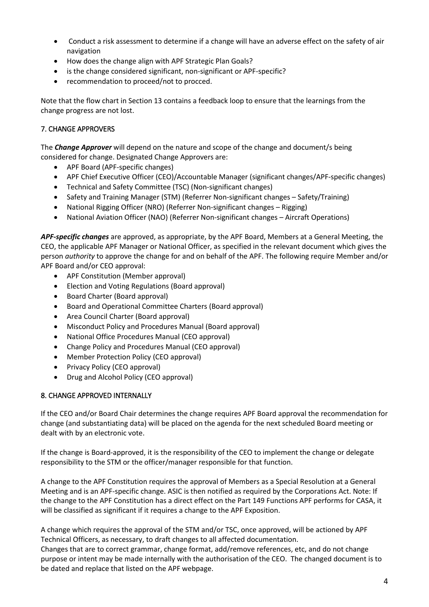- Conduct a risk assessment to determine if a change will have an adverse effect on the safety of air navigation
- How does the change align with APF Strategic Plan Goals?
- is the change considered significant, non-significant or APF-specific?
- recommendation to proceed/not to procced.

Note that the flow chart in Section 13 contains a feedback loop to ensure that the learnings from the change progress are not lost.

#### <span id="page-4-0"></span>7. CHANGE APPROVERS

The *Change Approver* will depend on the nature and scope of the change and document/s being considered for change. Designated Change Approvers are:

- APF Board (APF-specific changes)
- APF Chief Executive Officer (CEO)/Accountable Manager (significant changes/APF-specific changes)
- Technical and Safety Committee (TSC) (Non-significant changes)
- Safety and Training Manager (STM) (Referrer Non-significant changes Safety/Training)
- National Rigging Officer (NRO) (Referrer Non-significant changes Rigging)
- National Aviation Officer (NAO) (Referrer Non-significant changes Aircraft Operations)

*APF-specific changes* are approved, as appropriate, by the APF Board, Members at a General Meeting, the CEO, the applicable APF Manager or National Officer, as specified in the relevant document which gives the person *authority* to approve the change for and on behalf of the APF. The following require Member and/or APF Board and/or CEO approval:

- APF Constitution (Member approval)
- Election and Voting Regulations (Board approval)
- Board Charter (Board approval)
- Board and Operational Committee Charters (Board approval)
- Area Council Charter (Board approval)
- Misconduct Policy and Procedures Manual (Board approval)
- National Office Procedures Manual (CEO approval)
- Change Policy and Procedures Manual (CEO approval)
- Member Protection Policy (CEO approval)
- Privacy Policy (CEO approval)
- Drug and Alcohol Policy (CEO approval)

#### <span id="page-4-1"></span>8. CHANGE APPROVED INTERNALLY

If the CEO and/or Board Chair determines the change requires APF Board approval the recommendation for change (and substantiating data) will be placed on the agenda for the next scheduled Board meeting or dealt with by an electronic vote.

If the change is Board-approved, it is the responsibility of the CEO to implement the change or delegate responsibility to the STM or the officer/manager responsible for that function.

A change to the APF Constitution requires the approval of Members as a Special Resolution at a General Meeting and is an APF-specific change. ASIC is then notified as required by the Corporations Act. Note: If the change to the APF Constitution has a direct effect on the Part 149 Functions APF performs for CASA, it will be classified as significant if it requires a change to the APF Exposition.

A change which requires the approval of the STM and/or TSC, once approved, will be actioned by APF Technical Officers, as necessary, to draft changes to all affected documentation.

Changes that are to correct grammar, change format, add/remove references, etc, and do not change purpose or intent may be made internally with the authorisation of the CEO. The changed document is to be dated and replace that listed on the APF webpage.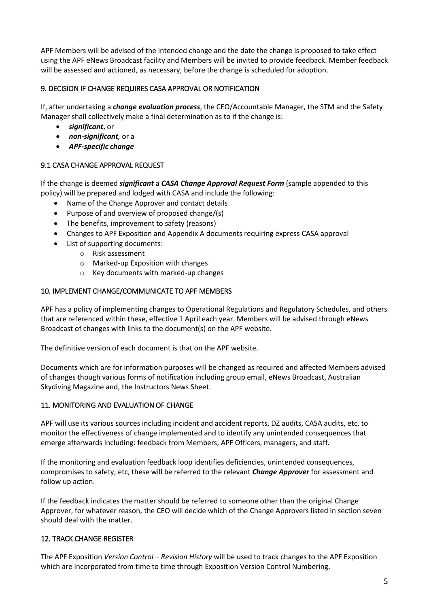APF Members will be advised of the intended change and the date the change is proposed to take effect using the APF eNews Broadcast facility and Members will be invited to provide feedback. Member feedback will be assessed and actioned, as necessary, before the change is scheduled for adoption.

#### <span id="page-5-0"></span>9. DECISION IF CHANGE REQUIRES CASA APPROVAL OR NOTIFICATION

If, after undertaking a *change evaluation process*, the CEO/Accountable Manager, the STM and the Safety Manager shall collectively make a final determination as to if the change is:

- *significant*, or
- *non-significant,* or a
- *APF-specific change*

# <span id="page-5-1"></span>9.1 CASA CHANGE APPROVAL REQUEST

If the change is deemed *significant* a *CASA Change Approval Request Form* (sample appended to this policy) will be prepared and lodged with CASA and include the following:

- Name of the Change Approver and contact details
- Purpose of and overview of proposed change/(s)
- The benefits, improvement to safety (reasons)
- Changes to APF Exposition and Appendix A documents requiring express CASA approval
- List of supporting documents:
	- o Risk assessment
	- o Marked-up Exposition with changes
	- o Key documents with marked-up changes

#### <span id="page-5-2"></span>10. IMPLEMENT CHANGE/COMMUNICATE TO APF MEMBERS

APF has a policy of implementing changes to Operational Regulations and Regulatory Schedules, and others that are referenced within these, effective 1 April each year. Members will be advised through eNews Broadcast of changes with links to the document(s) on the APF website.

The definitive version of each document is that on the APF website.

Documents which are for information purposes will be changed as required and affected Members advised of changes though various forms of notification including group email, eNews Broadcast, Australian Skydiving Magazine and, the Instructors News Sheet.

#### <span id="page-5-3"></span>11. MONITORING AND EVALUATION OF CHANGE

APF will use its various sources including incident and accident reports, DZ audits, CASA audits, etc, to monitor the effectiveness of change implemented and to identify any unintended consequences that emerge afterwards including: feedback from Members, APF Officers, managers, and staff.

If the monitoring and evaluation feedback loop identifies deficiencies, unintended consequences, compromises to safety, etc, these will be referred to the relevant *Change Approver* for assessment and follow up action.

If the feedback indicates the matter should be referred to someone other than the original Change Approver, for whatever reason, the CEO will decide which of the Change Approvers listed in section seven should deal with the matter.

# <span id="page-5-4"></span>12. TRACK CHANGE REGISTER

The APF Exposition *Version Control – Revision History* will be used to track changes to the APF Exposition which are incorporated from time to time through Exposition Version Control Numbering.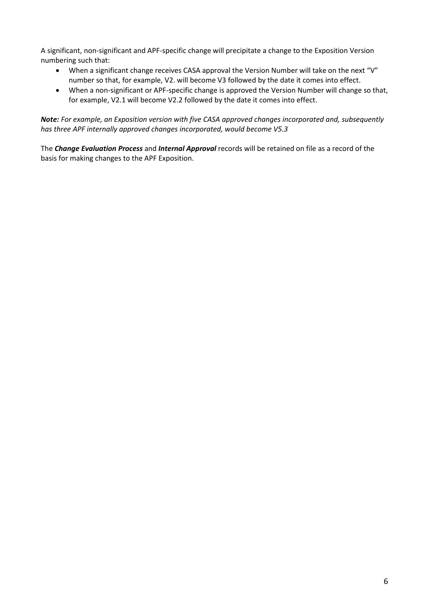A significant, non-significant and APF-specific change will precipitate a change to the Exposition Version numbering such that:

- When a significant change receives CASA approval the Version Number will take on the next "V" number so that, for example, V2. will become V3 followed by the date it comes into effect.
- When a non-significant or APF-specific change is approved the Version Number will change so that, for example, V2.1 will become V2.2 followed by the date it comes into effect.

*Note: For example, an Exposition version with five CASA approved changes incorporated and, subsequently has three APF internally approved changes incorporated, would become V5.3*

The *Change Evaluation Process* and *Internal Approval* records will be retained on file as a record of the basis for making changes to the APF Exposition.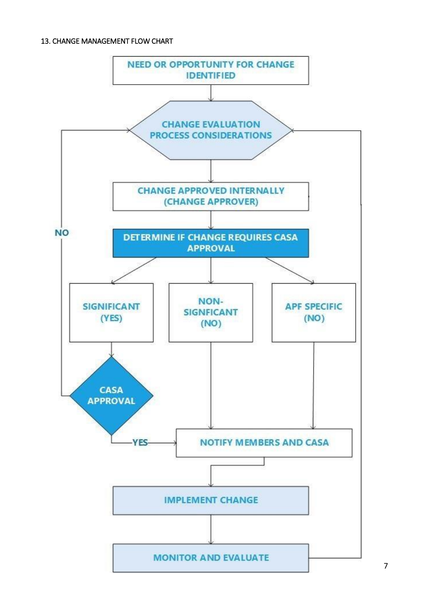#### <span id="page-7-0"></span>13. CHANGE MANAGEMENT FLOW CHART



7